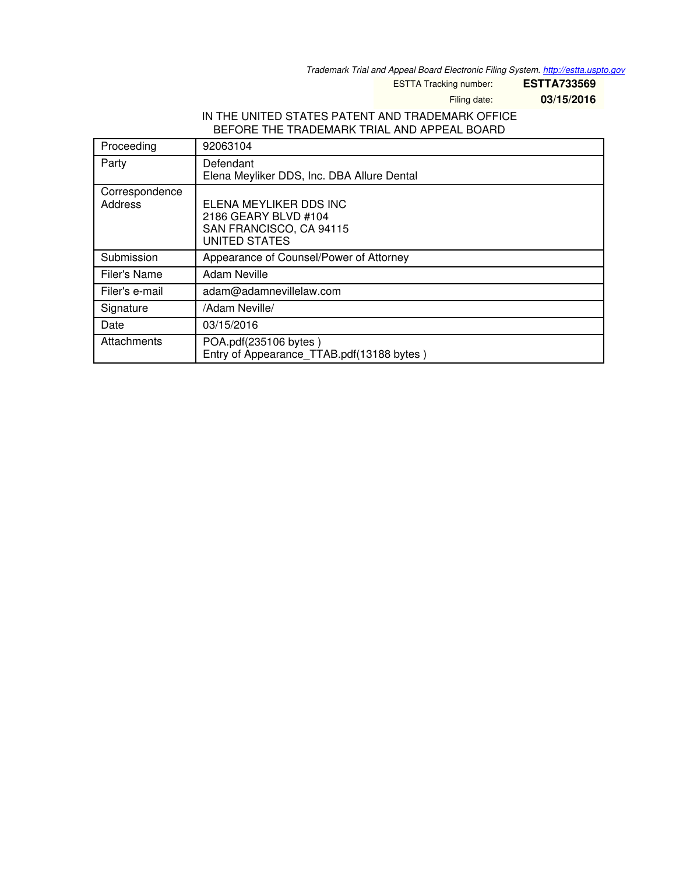*Trademark Trial and Appeal Board Electronic Filing System. <http://estta.uspto.gov>*

ESTTA Tracking number: **ESTTA733569**

Filing date: **03/15/2016**

### IN THE UNITED STATES PATENT AND TRADEMARK OFFICE BEFORE THE TRADEMARK TRIAL AND APPEAL BOARD

| Proceeding                | 92063104                                                                                          |
|---------------------------|---------------------------------------------------------------------------------------------------|
| Party                     | Defendant<br>Elena Meyliker DDS, Inc. DBA Allure Dental                                           |
| Correspondence<br>Address | ELENA MEYLIKER DDS INC<br>2186 GEARY BLVD #104<br>SAN FRANCISCO, CA 94115<br><b>UNITED STATES</b> |
| Submission                | Appearance of Counsel/Power of Attorney                                                           |
| Filer's Name              | Adam Neville                                                                                      |
| Filer's e-mail            | adam@adamnevillelaw.com                                                                           |
| Signature                 | /Adam Neville/                                                                                    |
| Date                      | 03/15/2016                                                                                        |
| Attachments               | POA.pdf(235106 bytes)<br>Entry of Appearance TTAB.pdf(13188 bytes)                                |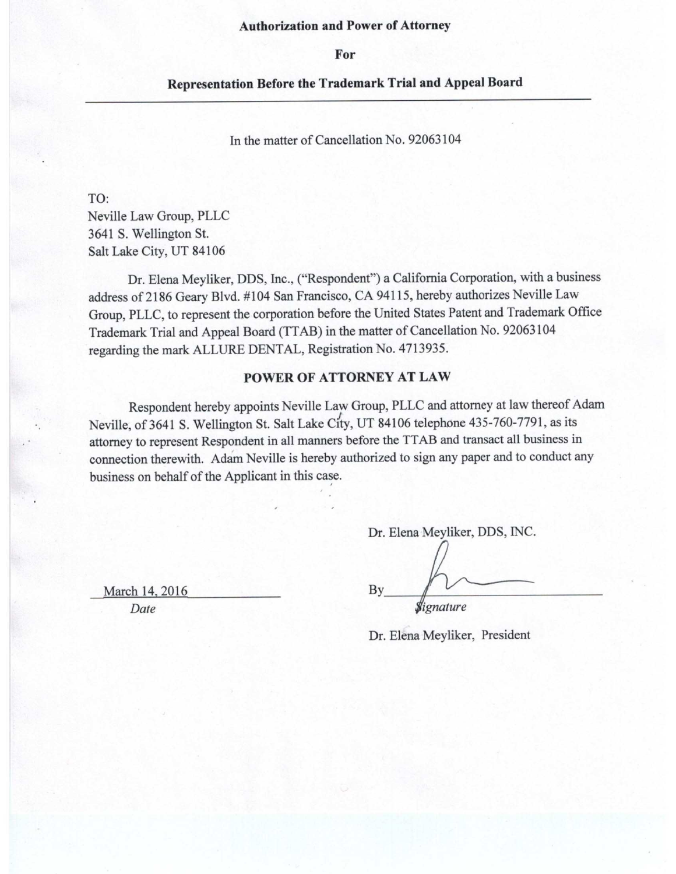#### **Authorization and Power of Attorney**

For

#### **Representation Before the Trademark Trial and Appeal Board**

In the matter of Cancellation No. 92063104

TO:

Neville Law Group, PLLC 3641 S. Wellington St. Salt Lake City, UT 84106

Dr. Elena Meyliker, DDS, Inc., ("Respondent") a California Corporation, with a business address of 2186 Geary Blvd. #104 San Francisco, CA 94115, hereby authorizes Neville Law Group, PLLC, to represent the corporation before the United States Patent and Trademark Office Trademark Trial and Appeal Board (TTAB) in the matter of Cancellation No. 92063104 regarding the mark ALLURE DENTAL, Registration No. 4713935.

#### POWER OF ATTORNEY AT LAW

Respondent hereby appoints Neville Law Group, PLLC and attorney at law thereof Adam Neville, of 3641 S. Wellington St. Salt Lake City, UT 84106 telephone 435-760-7791, as its attorney to represent Respondent in all manners before the TTAB and transact all business in connection therewith. Adam Neville is hereby authorized to sign any paper and to conduct any business on behalf of the Applicant in this case.

> Dr. Elena Meyliker, DDS, INC. By Signature

March 14, 2016 Date

Dr. Elena Meyliker, President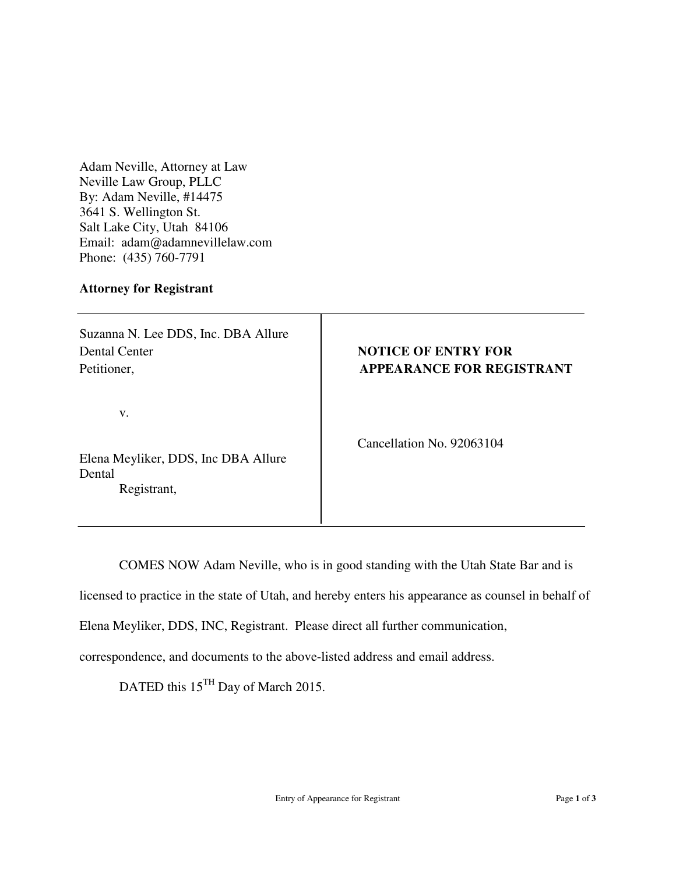Adam Neville, Attorney at Law Neville Law Group, PLLC By: Adam Neville, #14475 3641 S. Wellington St. Salt Lake City, Utah 84106 Email: adam@adamnevillelaw.com Phone: (435) 760-7791

#### **Attorney for Registrant**

Suzanna N. Lee DDS, Inc. DBA Allure Dental Center **NOTICE OF ENTRY FOR** 

v.

Elena Meyliker, DDS, Inc DBA Allure Dental Registrant,

# Petitioner, **APPEARANCE FOR REGISTRANT**

Cancellation No. 92063104

COMES NOW Adam Neville, who is in good standing with the Utah State Bar and is

licensed to practice in the state of Utah, and hereby enters his appearance as counsel in behalf of

Elena Meyliker, DDS, INC, Registrant. Please direct all further communication,

correspondence, and documents to the above-listed address and email address.

DATED this 15<sup>TH</sup> Day of March 2015.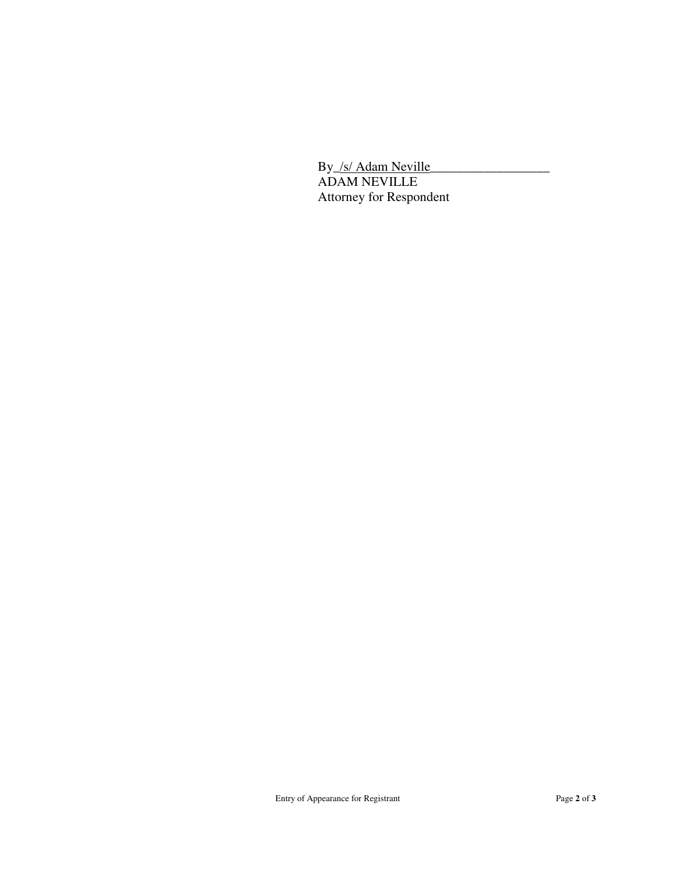By /s/ Adam Neville ADAM NEVILLE Attorney for Respondent